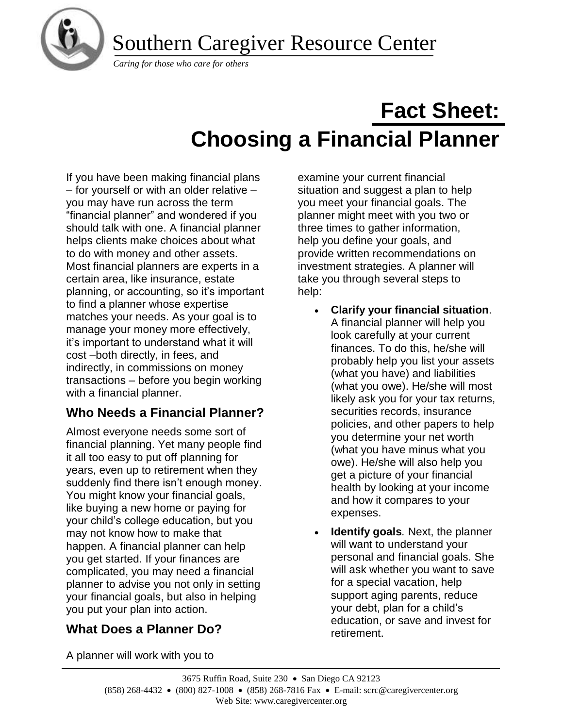Southern Caregiver Resource Center



*Caring for those who care for others*

# **Fact Sheet: Choosing a Financial Planner**

If you have been making financial plans – for yourself or with an older relative – you may have run across the term "financial planner" and wondered if you should talk with one. A financial planner helps clients make choices about what to do with money and other assets. Most financial planners are experts in a certain area, like insurance, estate planning, or accounting, so it's important to find a planner whose expertise matches your needs. As your goal is to manage your money more effectively, it's important to understand what it will cost –both directly, in fees, and indirectly, in commissions on money transactions – before you begin working with a financial planner.

## **Who Needs a Financial Planner?**

Almost everyone needs some sort of financial planning. Yet many people find it all too easy to put off planning for years, even up to retirement when they suddenly find there isn't enough money. You might know your financial goals, like buying a new home or paying for your child's college education, but you may not know how to make that happen. A financial planner can help you get started. If your finances are complicated, you may need a financial planner to advise you not only in setting your financial goals, but also in helping you put your plan into action.

## **What Does a Planner Do?**

examine your current financial situation and suggest a plan to help you meet your financial goals. The planner might meet with you two or three times to gather information, help you define your goals, and provide written recommendations on investment strategies. A planner will take you through several steps to help:

- **Clarify your financial situation**. A financial planner will help you look carefully at your current finances. To do this, he/she will probably help you list your assets (what you have) and liabilities (what you owe). He/she will most likely ask you for your tax returns, securities records, insurance policies, and other papers to help you determine your net worth (what you have minus what you owe). He/she will also help you get a picture of your financial health by looking at your income and how it compares to your expenses.
- **Identify goals***.* Next, the planner will want to understand your personal and financial goals. She will ask whether you want to save for a special vacation, help support aging parents, reduce your debt, plan for a child's education, or save and invest for retirement.

A planner will work with you to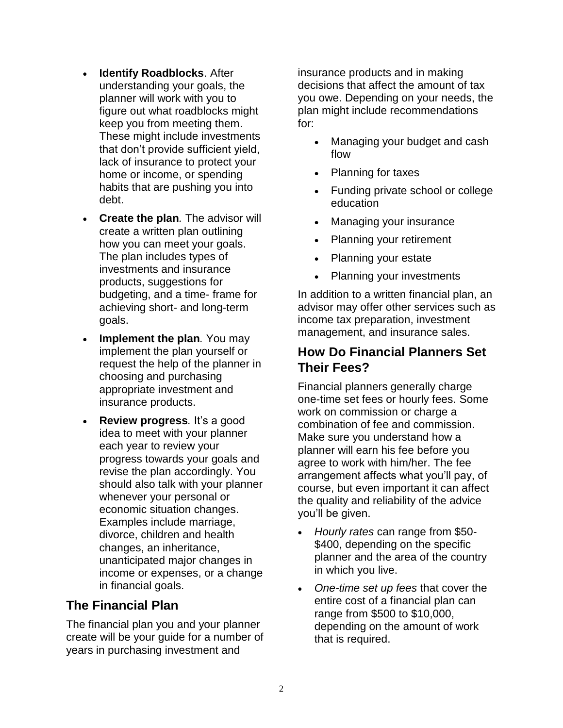- **Identify Roadblocks. After** understanding your goals, the planner will work with you to figure out what roadblocks might keep you from meeting them. These might include investments that don't provide sufficient yield, lack of insurance to protect your home or income, or spending habits that are pushing you into debt.
- **Create the plan***.* The advisor will create a written plan outlining how you can meet your goals. The plan includes types of investments and insurance products, suggestions for budgeting, and a time- frame for achieving short- and long-term goals.
- **Implement the plan**. You may implement the plan yourself or request the help of the planner in choosing and purchasing appropriate investment and insurance products.
- **Review progress***.* It's a good idea to meet with your planner each year to review your progress towards your goals and revise the plan accordingly. You should also talk with your planner whenever your personal or economic situation changes. Examples include marriage, divorce, children and health changes, an inheritance, unanticipated major changes in income or expenses, or a change in financial goals.

#### **The Financial Plan**

The financial plan you and your planner create will be your guide for a number of years in purchasing investment and

insurance products and in making decisions that affect the amount of tax you owe. Depending on your needs, the plan might include recommendations for:

- Managing your budget and cash flow
- Planning for taxes
- Funding private school or college education
- Managing your insurance
- Planning your retirement
- Planning your estate
- Planning your investments

In addition to a written financial plan, an advisor may offer other services such as income tax preparation, investment management, and insurance sales.

### **How Do Financial Planners Set Their Fees?**

Financial planners generally charge one-time set fees or hourly fees. Some work on commission or charge a combination of fee and commission. Make sure you understand how a planner will earn his fee before you agree to work with him/her. The fee arrangement affects what you'll pay, of course, but even important it can affect the quality and reliability of the advice you'll be given.

- *Hourly rates* can range from \$50- \$400, depending on the specific planner and the area of the country in which you live.
- *One-time set up fees* that cover the entire cost of a financial plan can range from \$500 to \$10,000, depending on the amount of work that is required.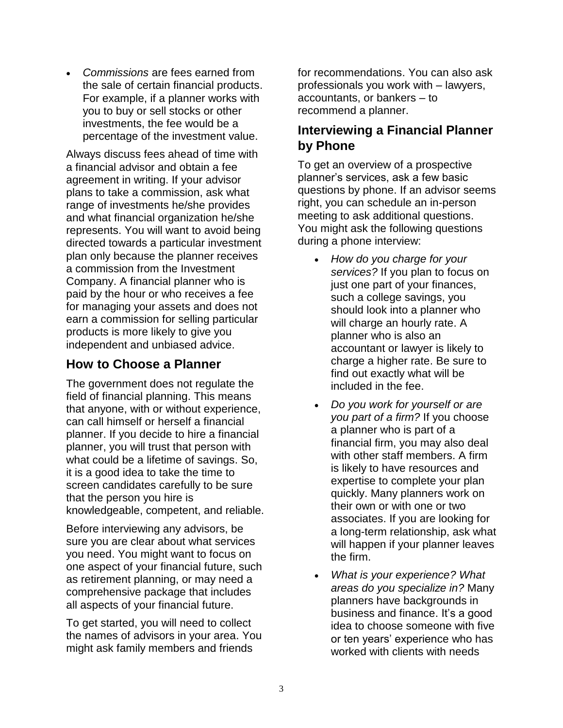• *Commissions* are fees earned from the sale of certain financial products. For example, if a planner works with you to buy or sell stocks or other investments, the fee would be a percentage of the investment value.

Always discuss fees ahead of time with a financial advisor and obtain a fee agreement in writing. If your advisor plans to take a commission, ask what range of investments he/she provides and what financial organization he/she represents. You will want to avoid being directed towards a particular investment plan only because the planner receives a commission from the Investment Company. A financial planner who is paid by the hour or who receives a fee for managing your assets and does not earn a commission for selling particular products is more likely to give you independent and unbiased advice.

#### **How to Choose a Planner**

The government does not regulate the field of financial planning. This means that anyone, with or without experience, can call himself or herself a financial planner. If you decide to hire a financial planner, you will trust that person with what could be a lifetime of savings. So, it is a good idea to take the time to screen candidates carefully to be sure that the person you hire is knowledgeable, competent, and reliable.

Before interviewing any advisors, be sure you are clear about what services you need. You might want to focus on one aspect of your financial future, such as retirement planning, or may need a comprehensive package that includes all aspects of your financial future.

To get started, you will need to collect the names of advisors in your area. You might ask family members and friends

for recommendations. You can also ask professionals you work with – lawyers, accountants, or bankers – to recommend a planner.

#### **Interviewing a Financial Planner by Phone**

To get an overview of a prospective planner's services, ask a few basic questions by phone. If an advisor seems right, you can schedule an in-person meeting to ask additional questions. You might ask the following questions during a phone interview:

- *How do you charge for your services?* If you plan to focus on just one part of your finances, such a college savings, you should look into a planner who will charge an hourly rate. A planner who is also an accountant or lawyer is likely to charge a higher rate. Be sure to find out exactly what will be included in the fee.
- *Do you work for yourself or are you part of a firm?* If you choose a planner who is part of a financial firm, you may also deal with other staff members. A firm is likely to have resources and expertise to complete your plan quickly. Many planners work on their own or with one or two associates. If you are looking for a long-term relationship, ask what will happen if your planner leaves the firm.
- *What is your experience? What areas do you specialize in?* Many planners have backgrounds in business and finance. It's a good idea to choose someone with five or ten years' experience who has worked with clients with needs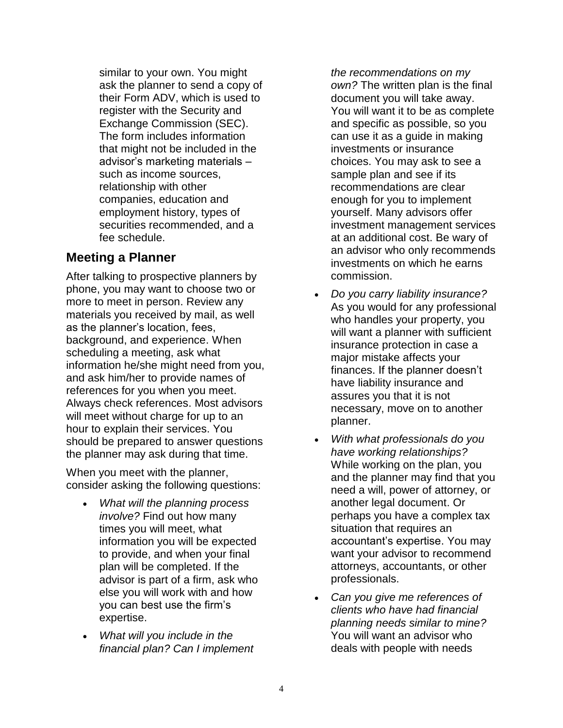similar to your own. You might ask the planner to send a copy of their Form ADV, which is used to register with the Security and Exchange Commission (SEC). The form includes information that might not be included in the advisor's marketing materials – such as income sources, relationship with other companies, education and employment history, types of securities recommended, and a fee schedule.

#### **Meeting a Planner**

After talking to prospective planners by phone, you may want to choose two or more to meet in person. Review any materials you received by mail, as well as the planner's location, fees, background, and experience. When scheduling a meeting, ask what information he/she might need from you, and ask him/her to provide names of references for you when you meet. Always check references. Most advisors will meet without charge for up to an hour to explain their services. You should be prepared to answer questions the planner may ask during that time.

When you meet with the planner, consider asking the following questions:

- *What will the planning process involve?* Find out how many times you will meet, what information you will be expected to provide, and when your final plan will be completed. If the advisor is part of a firm, ask who else you will work with and how you can best use the firm's expertise.
- *What will you include in the financial plan? Can I implement*

*the recommendations on my own?* The written plan is the final document you will take away. You will want it to be as complete and specific as possible, so you can use it as a guide in making investments or insurance choices. You may ask to see a sample plan and see if its recommendations are clear enough for you to implement yourself. Many advisors offer investment management services at an additional cost. Be wary of an advisor who only recommends investments on which he earns commission.

- *Do you carry liability insurance?* As you would for any professional who handles your property, you will want a planner with sufficient insurance protection in case a major mistake affects your finances. If the planner doesn't have liability insurance and assures you that it is not necessary, move on to another planner.
- *With what professionals do you have working relationships?* While working on the plan, you and the planner may find that you need a will, power of attorney, or another legal document. Or perhaps you have a complex tax situation that requires an accountant's expertise. You may want your advisor to recommend attorneys, accountants, or other professionals.
- *Can you give me references of clients who have had financial planning needs similar to mine?* You will want an advisor who deals with people with needs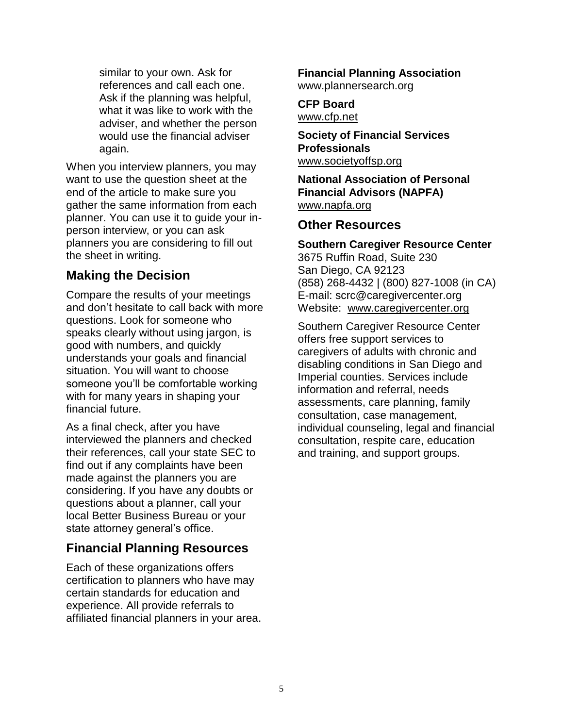similar to your own. Ask for references and call each one. Ask if the planning was helpful, what it was like to work with the adviser, and whether the person would use the financial adviser again.

When you interview planners, you may want to use the question sheet at the end of the article to make sure you gather the same information from each planner. You can use it to guide your inperson interview, or you can ask planners you are considering to fill out the sheet in writing.

#### **Making the Decision**

Compare the results of your meetings and don't hesitate to call back with more questions. Look for someone who speaks clearly without using jargon, is good with numbers, and quickly understands your goals and financial situation. You will want to choose someone you'll be comfortable working with for many years in shaping your financial future.

As a final check, after you have interviewed the planners and checked their references, call your state SEC to find out if any complaints have been made against the planners you are considering. If you have any doubts or questions about a planner, call your local Better Business Bureau or your state attorney general's office.

#### **Financial Planning Resources**

Each of these organizations offers certification to planners who have may certain standards for education and experience. All provide referrals to affiliated financial planners in your area. **Financial Planning Association**  [www.plannersearch.org](http://www.plannersearch.org/)

#### **CFP Board** [www.cfp.net](http://www.cfp.net/)

**Society of Financial Services Professionals** [www.societyoffsp.org](http://www.societyoffsp.org/)

**National Association of Personal Financial Advisors (NAPFA)**  [www.napfa.org](http://www.napfa.org/)

#### **Other Resources**

#### **Southern Caregiver Resource Center**

3675 Ruffin Road, Suite 230 San Diego, CA 92123 (858) 268-4432 | (800) 827-1008 (in CA) E-mail: scrc@caregivercenter.org Website: [www.caregivercenter.org](http://www.caregivercenter.org/)

Southern Caregiver Resource Center offers free support services to caregivers of adults with chronic and disabling conditions in San Diego and Imperial counties. Services include information and referral, needs assessments, care planning, family consultation, case management, individual counseling, legal and financial consultation, respite care, education and training, and support groups.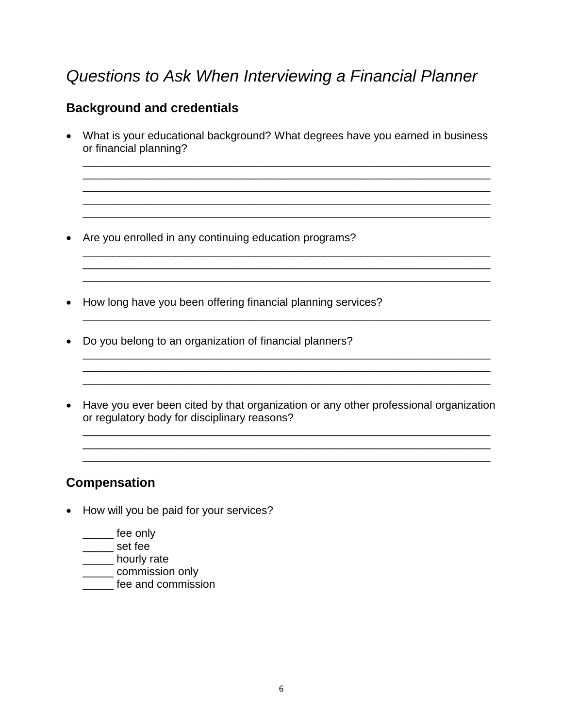# *Questions to Ask When Interviewing a Financial Planner*

### **Background and credentials**

• What is your educational background? What degrees have you earned in business or financial planning?

\_\_\_\_\_\_\_\_\_\_\_\_\_\_\_\_\_\_\_\_\_\_\_\_\_\_\_\_\_\_\_\_\_\_\_\_\_\_\_\_\_\_\_\_\_\_\_\_\_\_\_\_\_\_\_\_\_\_\_\_\_\_\_\_\_\_ \_\_\_\_\_\_\_\_\_\_\_\_\_\_\_\_\_\_\_\_\_\_\_\_\_\_\_\_\_\_\_\_\_\_\_\_\_\_\_\_\_\_\_\_\_\_\_\_\_\_\_\_\_\_\_\_\_\_\_\_\_\_\_\_\_\_ \_\_\_\_\_\_\_\_\_\_\_\_\_\_\_\_\_\_\_\_\_\_\_\_\_\_\_\_\_\_\_\_\_\_\_\_\_\_\_\_\_\_\_\_\_\_\_\_\_\_\_\_\_\_\_\_\_\_\_\_\_\_\_\_\_\_  $\mathcal{L}_\text{max}$  , and the contribution of the contribution of the contribution of the contribution of the contribution of the contribution of the contribution of the contribution of the contribution of the contribution of t \_\_\_\_\_\_\_\_\_\_\_\_\_\_\_\_\_\_\_\_\_\_\_\_\_\_\_\_\_\_\_\_\_\_\_\_\_\_\_\_\_\_\_\_\_\_\_\_\_\_\_\_\_\_\_\_\_\_\_\_\_\_\_\_\_\_

 $\overline{\phantom{a}}$  ,  $\overline{\phantom{a}}$  ,  $\overline{\phantom{a}}$  ,  $\overline{\phantom{a}}$  ,  $\overline{\phantom{a}}$  ,  $\overline{\phantom{a}}$  ,  $\overline{\phantom{a}}$  ,  $\overline{\phantom{a}}$  ,  $\overline{\phantom{a}}$  ,  $\overline{\phantom{a}}$  ,  $\overline{\phantom{a}}$  ,  $\overline{\phantom{a}}$  ,  $\overline{\phantom{a}}$  ,  $\overline{\phantom{a}}$  ,  $\overline{\phantom{a}}$  ,  $\overline{\phantom{a}}$ \_\_\_\_\_\_\_\_\_\_\_\_\_\_\_\_\_\_\_\_\_\_\_\_\_\_\_\_\_\_\_\_\_\_\_\_\_\_\_\_\_\_\_\_\_\_\_\_\_\_\_\_\_\_\_\_\_\_\_\_\_\_\_\_\_\_ \_\_\_\_\_\_\_\_\_\_\_\_\_\_\_\_\_\_\_\_\_\_\_\_\_\_\_\_\_\_\_\_\_\_\_\_\_\_\_\_\_\_\_\_\_\_\_\_\_\_\_\_\_\_\_\_\_\_\_\_\_\_\_\_\_\_

\_\_\_\_\_\_\_\_\_\_\_\_\_\_\_\_\_\_\_\_\_\_\_\_\_\_\_\_\_\_\_\_\_\_\_\_\_\_\_\_\_\_\_\_\_\_\_\_\_\_\_\_\_\_\_\_\_\_\_\_\_\_\_\_\_\_

\_\_\_\_\_\_\_\_\_\_\_\_\_\_\_\_\_\_\_\_\_\_\_\_\_\_\_\_\_\_\_\_\_\_\_\_\_\_\_\_\_\_\_\_\_\_\_\_\_\_\_\_\_\_\_\_\_\_\_\_\_\_\_\_\_\_

- Are you enrolled in any continuing education programs?
- How long have you been offering financial planning services?
- Do you belong to an organization of financial planners?
- Have you ever been cited by that organization or any other professional organization or regulatory body for disciplinary reasons?

 $\Box$  .  $\Box$  .  $\Box$  .  $\Box$  .  $\Box$  .  $\Box$  .  $\Box$  .  $\Box$  .  $\Box$  .  $\Box$  .  $\Box$  .  $\Box$  .  $\Box$  .  $\Box$  .  $\Box$  .  $\Box$  .  $\Box$ 

\_\_\_\_\_\_\_\_\_\_\_\_\_\_\_\_\_\_\_\_\_\_\_\_\_\_\_\_\_\_\_\_\_\_\_\_\_\_\_\_\_\_\_\_\_\_\_\_\_\_\_\_\_\_\_\_\_\_\_\_\_\_\_\_\_\_

#### **Compensation**

- How will you be paid for your services?
	- \_\_\_\_\_ fee only
	- \_\_\_\_\_ set fee
	- \_\_\_\_\_ hourly rate
	- \_\_\_\_\_ commission only
	- **\_\_\_\_\_** fee and commission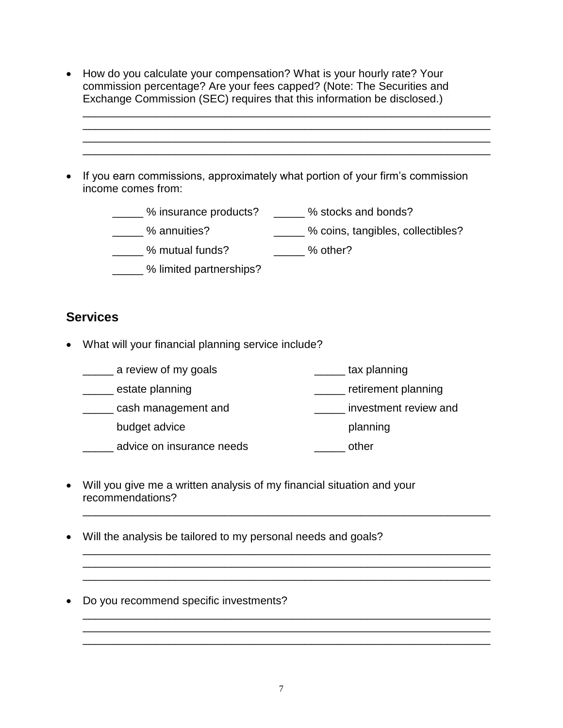- How do you calculate your compensation? What is your hourly rate? Your commission percentage? Are your fees capped? (Note: The Securities and Exchange Commission (SEC) requires that this information be disclosed.)
- If you earn commissions, approximately what portion of your firm's commission income comes from:
	- \_\_\_\_\_ % insurance products? \_\_\_\_\_ % stocks and bonds?
	- \_\_\_\_\_ % annuities? \_\_\_\_\_ % coins, tangibles, collectibles?

\_\_\_\_\_\_\_\_\_\_\_\_\_\_\_\_\_\_\_\_\_\_\_\_\_\_\_\_\_\_\_\_\_\_\_\_\_\_\_\_\_\_\_\_\_\_\_\_\_\_\_\_\_\_\_\_\_\_\_\_\_\_\_\_\_\_ \_\_\_\_\_\_\_\_\_\_\_\_\_\_\_\_\_\_\_\_\_\_\_\_\_\_\_\_\_\_\_\_\_\_\_\_\_\_\_\_\_\_\_\_\_\_\_\_\_\_\_\_\_\_\_\_\_\_\_\_\_\_\_\_\_\_ \_\_\_\_\_\_\_\_\_\_\_\_\_\_\_\_\_\_\_\_\_\_\_\_\_\_\_\_\_\_\_\_\_\_\_\_\_\_\_\_\_\_\_\_\_\_\_\_\_\_\_\_\_\_\_\_\_\_\_\_\_\_\_\_\_\_

- \_\_\_\_\_ % mutual funds? \_\_\_\_\_ % other?
- **\_\_\_\_\_ %** limited partnerships?

### **Services**

• What will your financial planning service include?

| a review of my goals      | tax planning          |
|---------------------------|-----------------------|
| estate planning           | retirement planning   |
| cash management and       | investment review and |
| budget advice             | planning              |
| advice on insurance needs | other                 |

\_\_\_\_\_\_\_\_\_\_\_\_\_\_\_\_\_\_\_\_\_\_\_\_\_\_\_\_\_\_\_\_\_\_\_\_\_\_\_\_\_\_\_\_\_\_\_\_\_\_\_\_\_\_\_\_\_\_\_\_\_\_\_\_\_\_

\_\_\_\_\_\_\_\_\_\_\_\_\_\_\_\_\_\_\_\_\_\_\_\_\_\_\_\_\_\_\_\_\_\_\_\_\_\_\_\_\_\_\_\_\_\_\_\_\_\_\_\_\_\_\_\_\_\_\_\_\_\_\_\_\_\_

\_\_\_\_\_\_\_\_\_\_\_\_\_\_\_\_\_\_\_\_\_\_\_\_\_\_\_\_\_\_\_\_\_\_\_\_\_\_\_\_\_\_\_\_\_\_\_\_\_\_\_\_\_\_\_\_\_\_\_\_\_\_\_\_\_\_

 $\mathcal{L}_\mathcal{L} = \mathcal{L}_\mathcal{L} = \mathcal{L}_\mathcal{L} = \mathcal{L}_\mathcal{L} = \mathcal{L}_\mathcal{L} = \mathcal{L}_\mathcal{L} = \mathcal{L}_\mathcal{L} = \mathcal{L}_\mathcal{L} = \mathcal{L}_\mathcal{L} = \mathcal{L}_\mathcal{L} = \mathcal{L}_\mathcal{L} = \mathcal{L}_\mathcal{L} = \mathcal{L}_\mathcal{L} = \mathcal{L}_\mathcal{L} = \mathcal{L}_\mathcal{L} = \mathcal{L}_\mathcal{L} = \mathcal{L}_\mathcal{L}$ 

• Will you give me a written analysis of my financial situation and your recommendations?

\_\_\_\_\_\_\_\_\_\_\_\_\_\_\_\_\_\_\_\_\_\_\_\_\_\_\_\_\_\_\_\_\_\_\_\_\_\_\_\_\_\_\_\_\_\_\_\_\_\_\_\_\_\_\_\_\_\_\_\_\_\_\_\_\_\_

- Will the analysis be tailored to my personal needs and goals?
- Do you recommend specific investments?